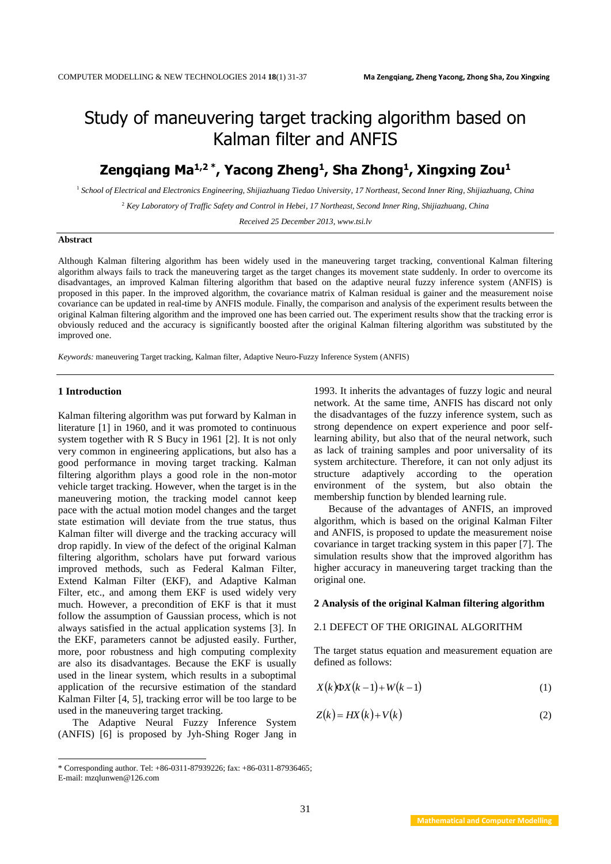# Study of maneuvering target tracking algorithm based on Kalman filter and ANFIS

## **Zengqiang Ma1,2 \* , Yacong Zheng<sup>1</sup> , Sha Zhong<sup>1</sup> , Xingxing Zou<sup>1</sup>**

<sup>1</sup> *School of Electrical and Electronics Engineering, Shijiazhuang Tiedao University, 17 Northeast, Second Inner Ring, Shijiazhuang, China*

<sup>2</sup> *Key Laboratory of Traffic Safety and Control in Hebei, 17 Northeast, Second Inner Ring, Shijiazhuang, China*

*Received 25 December 2013, www.tsi.lv*

## **Abstract**

Although Kalman filtering algorithm has been widely used in the maneuvering target tracking, conventional Kalman filtering algorithm always fails to track the maneuvering target as the target changes its movement state suddenly. In order to overcome its disadvantages, an improved Kalman filtering algorithm that based on the adaptive neural fuzzy inference system (ANFIS) is proposed in this paper. In the improved algorithm, the covariance matrix of Kalman residual is gainer and the measurement noise covariance can be updated in real-time by ANFIS module. Finally, the comparison and analysis of the experiment results between the original Kalman filtering algorithm and the improved one has been carried out. The experiment results show that the tracking error is obviously reduced and the accuracy is significantly boosted after the original Kalman filtering algorithm was substituted by the improved one.

*Keywords:* maneuvering Target tracking, Kalman filter, Adaptive Neuro-Fuzzy Inference System (ANFIS)

## **1 Introduction**

Kalman filtering algorithm was put forward by Kalman in literature [1] in 1960, and it was promoted to continuous system together with R S Bucy in 1961 [2]. It is not only very common in engineering applications, but also has a good performance in moving target tracking. Kalman filtering algorithm plays a good role in the non-motor vehicle target tracking. However, when the target is in the maneuvering motion, the tracking model cannot keep pace with the actual motion model changes and the target state estimation will deviate from the true status, thus Kalman filter will diverge and the tracking accuracy will drop rapidly. In view of the defect of the original Kalman filtering algorithm, scholars have put forward various improved methods, such as Federal Kalman Filter, Extend Kalman Filter (EKF), and Adaptive Kalman Filter, etc., and among them EKF is used widely very much. However, a precondition of EKF is that it must follow the assumption of Gaussian process, which is not always satisfied in the actual application systems [3]. In the EKF, parameters cannot be adjusted easily. Further, more, poor robustness and high computing complexity are also its disadvantages. Because the EKF is usually used in the linear system, which results in a suboptimal application of the recursive estimation of the standard Kalman Filter [4, 5], tracking error will be too large to be used in the maneuvering target tracking.

The Adaptive Neural Fuzzy Inference System (ANFIS) [6] is proposed by Jyh-Shing Roger Jang in

 $\overline{a}$ 

1993. It inherits the advantages of fuzzy logic and neural network. At the same time, ANFIS has discard not only the disadvantages of the fuzzy inference system, such as strong dependence on expert experience and poor selflearning ability, but also that of the neural network, such as lack of training samples and poor universality of its system architecture. Therefore, it can not only adjust its structure adaptively according to the operation environment of the system, but also obtain the membership function by blended learning rule.

Because of the advantages of ANFIS, an improved algorithm, which is based on the original Kalman Filter and ANFIS, is proposed to update the measurement noise covariance in target tracking system in this paper [7]. The simulation results show that the improved algorithm has higher accuracy in maneuvering target tracking than the original one.

## **2 Analysis of the original Kalman filtering algorithm**

## 2.1 DEFECT OF THE ORIGINAL ALGORITHM

The target status equation and measurement equation are defined as follows:

$$
X(k)\Phi X(k-1) + W(k-1) \tag{1}
$$

$$
Z(k) = HX(k) + V(k)
$$
 (2)

<sup>\*</sup> Corresponding author. Tel: +86-0311-87939226; fax: +86-0311-87936465;

E-mail: mzqlunwen@126.com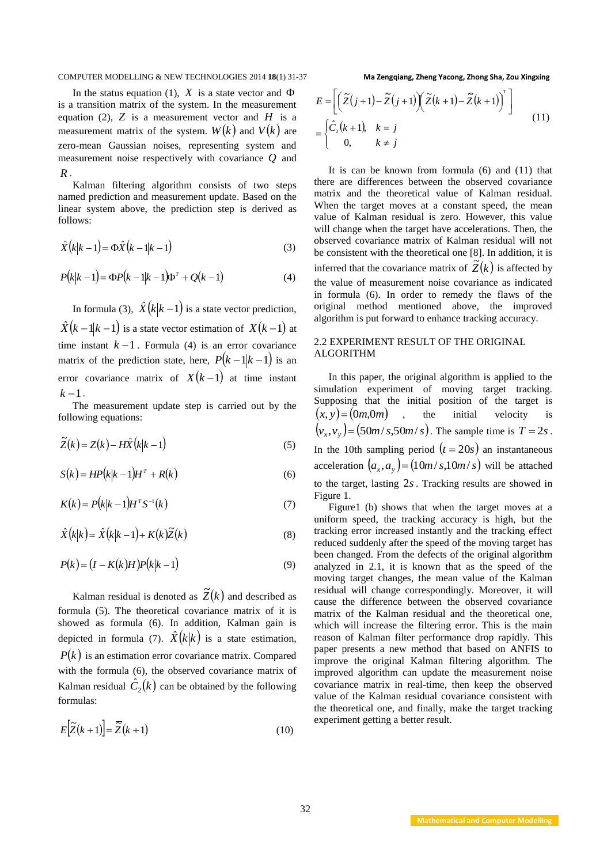In the status equation (1),  $X$  is a state vector and  $\Phi$ is a transition matrix of the system. In the measurement equation (2),  $Z$  is a measurement vector and  $H$  is a measurement matrix of the system.  $W(k)$  and  $V(k)$  are zero-mean Gaussian noises, representing system and measurement noise respectively with covariance *Q* and *R* .

Kalman filtering algorithm consists of two steps named prediction and measurement update. Based on the linear system above, the prediction step is derived as follows:

$$
\hat{X}(k|k-1) = \Phi \hat{X}(k-1|k-1)
$$
\n(3)

$$
P(k|k-1) = \Phi P(k-1|k-1)\Phi^{T} + Q(k-1)
$$
\n(4)

In formula (3),  $\hat{X}(k|k-1)$  is a state vector prediction,  $\hat{X}(k-1|k-1)$  is a state vector estimation of  $X(k-1)$  at time instant  $k-1$ . Formula (4) is an error covariance matrix of the prediction state, here,  $P(k-1|k-1)$  is an error covariance matrix of  $X(k-1)$  at time instant  $k-1$ .

The measurement update step is carried out by the following equations:

$$
\widetilde{Z}(k) = Z(k) - H\widehat{X}(k|k-1)
$$
\n(5)

$$
S(k) = HP(k|k-1)HT + R(k)
$$
\n(6)

$$
K(k) = P(k|k-1)H^{T}S^{-1}(k)
$$
\n(7)

$$
\hat{X}(k|k) = \hat{X}(k|k-1) + K(k)\tilde{Z}(k)
$$
\n(8)

$$
P(k) = (I - K(k)H)P(k|k-1)
$$
\n(9)

Kalman residual is denoted as  $\widetilde{Z}(k)$  and described as formula (5). The theoretical covariance matrix of it is showed as formula (6). In addition, Kalman gain is depicted in formula (7).  $\hat{X}(k|k)$  is a state estimation,  $P(k)$  is an estimation error covariance matrix. Compared with the formula (6), the observed covariance matrix of Kalman residual  $\hat{C}_2(k)$  can be obtained by the following formulas:

$$
E[\widetilde{Z}(k+1)] = \widetilde{\widetilde{Z}}(k+1) \tag{10}
$$

$$
E = \left[ \left( \tilde{Z}(j+1) - \overline{\tilde{Z}}(j+1) \right) \left( \tilde{Z}(k+1) - \overline{\tilde{Z}}(k+1) \right)^{T} \right]
$$
  
= 
$$
\begin{cases} \hat{C}_{2}(k+1), & k = j \\ 0, & k \neq j \end{cases}
$$
 (11)

It is can be known from formula (6) and (11) that there are differences between the observed covariance matrix and the theoretical value of Kalman residual. When the target moves at a constant speed, the mean value of Kalman residual is zero. However, this value will change when the target have accelerations. Then, the observed covariance matrix of Kalman residual will not be consistent with the theoretical one [8]. In addition, it is inferred that the covariance matrix of  $\tilde{Z}(k)$  is affected by the value of measurement noise covariance as indicated in formula (6). In order to remedy the flaws of the original method mentioned above, the improved algorithm is put forward to enhance tracking accuracy.

## 2.2 EXPERIMENT RESULT OF THE ORIGINAL ALGORITHM

In this paper, the original algorithm is applied to the simulation experiment of moving target tracking. Supposing that the initial position of the target is  $(x, y) = (0m, 0m)$ , the initial velocity is  $(v_x, v_y) = (50m/s, 50m/s)$ . The sample time is  $T = 2s$ . In the 10th sampling period  $(t = 20s)$  an instantaneous acceleration  $(a_x, a_y) = (10m/s, 10m/s)$  will be attached to the target, lasting 2*s* . Tracking results are showed in Figure 1.

Figure1 (b) shows that when the target moves at a uniform speed, the tracking accuracy is high, but the tracking error increased instantly and the tracking effect reduced suddenly after the speed of the moving target has been changed. From the [defects](javascript:showjdsw() of the original algorithm analyzed in 2.1, it is known that as the speed of the moving target changes, the mean value of the Kalman residual will change correspondingly. Moreover, it will cause the difference between the observed covariance matrix of the Kalman residual and the theoretical one, which will increase the filtering error. This is the main reason of Kalman filter performance drop rapidly. This paper presents a new method that based on ANFIS to improve the original Kalman filtering algorithm. The improved algorithm can update the measurement noise covariance matrix in real-time, then keep the observed value of the Kalman residual covariance consistent with the theoretical one, and finally, make the target tracking experiment getting a better result.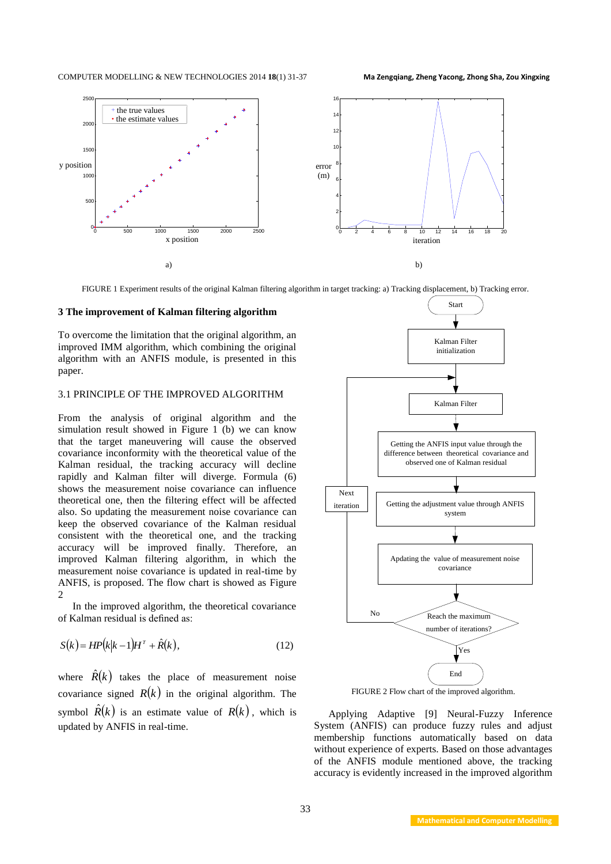

FIGURE 1 Experiment results of the original Kalman filtering algorithm in target tracking: a) Tracking displacement, b) Tracking error.

## **3 The improvement of Kalman filtering algorithm**

To overcome the limitation that the original algorithm, an improved IMM algorithm, which combining the original algorithm with an ANFIS module, is presented in this paper.

## 3.1 PRINCIPLE OF THE IMPROVED ALGORITHM

From the analysis of original algorithm and the simulation result showed in Figure 1 (b) we can know that the target maneuvering will cause the observed covariance inconformity with the theoretical value of the Kalman residual, the tracking accuracy will decline rapidly and Kalman filter will diverge. Formula (6) shows the measurement noise covariance can influence theoretical one, then the filtering effect will be affected also. So updating the measurement noise covariance can keep the observed covariance of the Kalman residual consistent with the theoretical one, and the tracking accuracy will be improved finally. Therefore, an improved Kalman filtering algorithm, in which the measurement noise covariance is updated in real-time by ANFIS, is proposed. The flow chart is showed as Figure  $\mathcal{D}$ 

In the improved algorithm, the theoretical covariance of Kalman residual is defined as:

$$
S(k) = HP(k|k-1)H^T + \hat{R}(k),
$$
\n(12)

where  $\hat{R}(k)$  takes the place of measurement noise covariance signed  $R(k)$  in the original algorithm. The symbol  $\hat{R}(k)$  is an estimate value of  $R(k)$ , which is updated by ANFIS in real-time.



FIGURE 2 Flow chart of the improved algorithm.

Applying Adaptive [9] Neural-Fuzzy Inference System (ANFIS) can produce fuzzy rules and adjust membership functions automatically based on data without experience of experts. Based on those advantages of the ANFIS module mentioned above, the tracking accuracy is evidently increased in the improved algorithm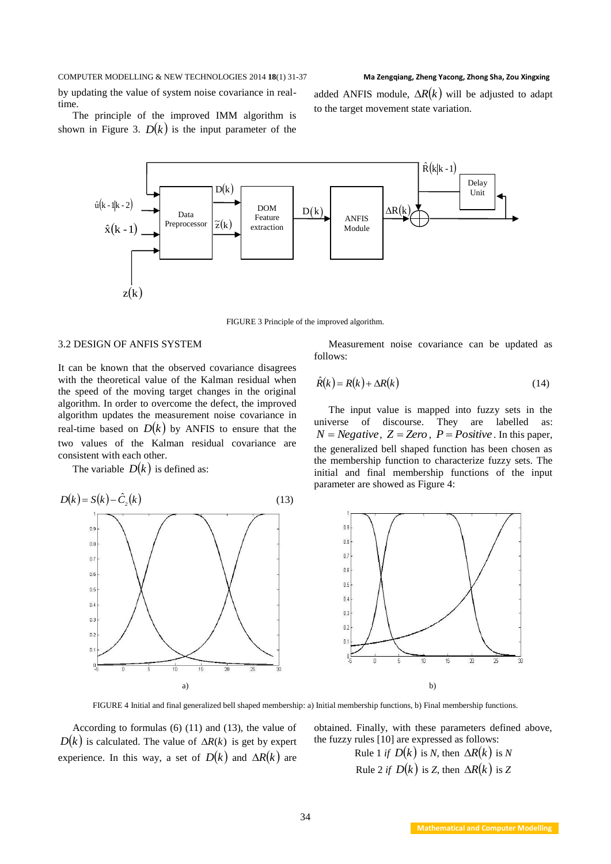by updating the value of system noise covariance in realtime.

added ANFIS module,  $\Delta R(k)$  will be adjusted to adapt to the target movement state variation.

The principle of the improved IMM algorithm is shown in Figure 3.  $D(k)$  is the input parameter of the



FIGURE 3 Principle of the improved algorithm.

## 3.2 DESIGN OF ANFIS SYSTEM

It can be known that the observed covariance disagrees with the theoretical value of the Kalman residual when the speed of the moving target changes in the original algorithm. In order to overcome the defect, the improved algorithm updates the [measurement noise covariance](http://dict.cnki.net/dict_result.aspx?searchword=%e6%b5%8b%e9%87%8f%e5%99%aa%e5%a3%b0%e5%8d%8f%e6%96%b9%e5%b7%ae&tjType=sentence&style=&t=measurement+noise+covariance) in real-time based on  $D(k)$  by ANFIS to ensure that the two values of the Kalman residual covariance are consistent with each other.

The variable  $D(k)$  is defined as:



[Measurement noise covariance](http://dict.cnki.net/dict_result.aspx?searchword=%e6%b5%8b%e9%87%8f%e5%99%aa%e5%a3%b0%e5%8d%8f%e6%96%b9%e5%b7%ae&tjType=sentence&style=&t=measurement+noise+covariance) can be updated as follows:

$$
\hat{R}(k) = R(k) + \Delta R(k) \tag{14}
$$

The input value is mapped into fuzzy sets in the universe of discourse. They are labelled as:  $N = Negative$ ,  $Z = Zero$ ,  $P = Positive$ . In this paper, the generalized bell shaped function has been chosen as the membership function to [characterize](http://dict.cnki.net/dict_result.aspx?searchword=%e8%a1%a8%e5%be%81&tjType=sentence&style=&t=characterized) fuzzy sets. The initial and final membership functions of the input parameter are showed as Figure 4:



FIGURE 4 Initial and final generalized bell shaped membership: a) Initial membership functions, b) Final membership functions.

According to formulas (6) (11) and (13), the value of  $D(k)$  is calculated. The value of  $\Delta R(k)$  is get by expert experience. In this way, a set of  $D(k)$  and  $\Delta R(k)$  are obtained. Finally, with these parameters defined above, the fuzzy rules [10] are expressed as follows:

> Rule 1 *if*  $D(k)$  is *N*, then  $\Delta R(k)$  is *N* Rule 2 *if*  $D(k)$  is *Z*, then  $\Delta R(k)$  is *Z*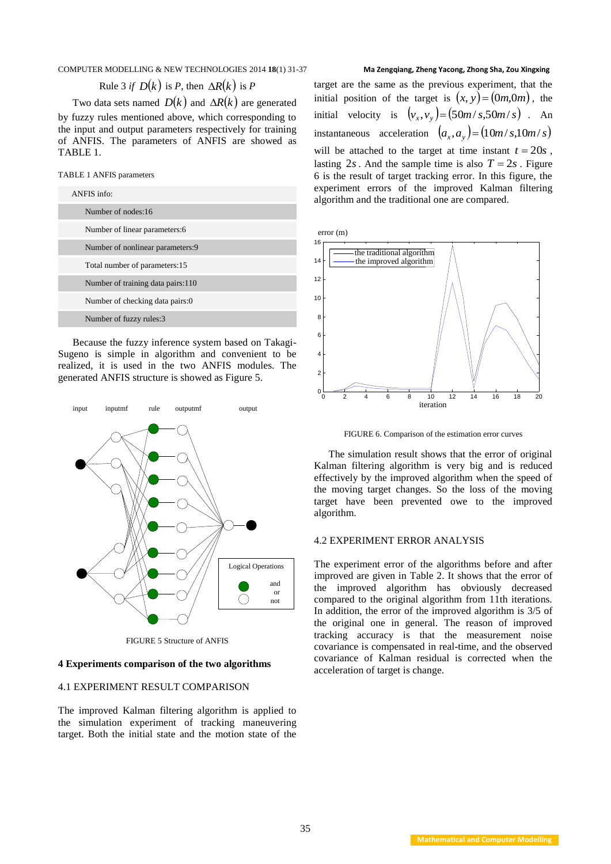Rule 3 if 
$$
D(k)
$$
 is P, then  $\Delta R(k)$  is P

Two data sets named  $D(k)$  and  $\Delta R(k)$  are generated by fuzzy rules mentioned above, which corresponding to the input and output parameters respectively for training of ANFIS. The parameters of ANFIS are showed as TABLE 1.

TABLE 1 ANFIS parameters

| ANFIS info:                       |  |  |
|-----------------------------------|--|--|
| Number of nodes:16                |  |  |
| Number of linear parameters: 6    |  |  |
| Number of nonlinear parameters:9  |  |  |
| Total number of parameters:15     |  |  |
| Number of training data pairs:110 |  |  |
| Number of checking data pairs:0   |  |  |
| Number of fuzzy rules:3           |  |  |

Because the fuzzy inference system based on Takagi-Sugeno is simple in algorithm and convenient to be realized, it is used in the two ANFIS modules. The generated ANFIS structure is showed as Figure 5.



FIGURE 5 Structure of ANFIS

## **4 Experiments comparison of the two algorithms**

## 4.1 EXPERIMENT RESULT COMPARISON

The improved Kalman filtering algorithm is applied to the simulation experiment of tracking maneuvering target. Both the initial state and the motion state of the

## target are the same as the previous experiment, that the initial position of the target is  $(x, y) = (0m, 0m)$ , the initial velocity is  $(v_x, v_y) = (50m/s, 50m/s)$ . An instantaneous acceleration  $(a_x, a_y) = (10m/s, 10m/s)$ will be attached to the target at time instant  $t = 20s$ , lasting  $2s$ . And the sample time is also  $T = 2s$ . Figure 6 is the result of target tracking error. In this figure, the experiment errors of the improved Kalman filtering algorithm and the traditional one are compared.

error (m)



FIGURE 6. Comparison of the estimation error curves

The simulation result shows that the error of original Kalman filtering algorithm is very big and is reduced effectively by the improved algorithm when the speed of the moving target changes. So the loss of the moving target have been prevented owe to the improved algorithm.

## 4.2 EXPERIMENT ERROR ANALYSIS

The experiment error of the algorithms before and after improved are given in Table 2. It shows that the error of the improved algorithm has obviously decreased compared to the original algorithm from 11th iterations. In addition, the error of the improved algorithm is 3/5 of the original one in general. The reason of improved tracking accuracy is that the measurement noise covariance is compensated in real-time, and the observed covariance of Kalman residual is corrected when the acceleration of target is change.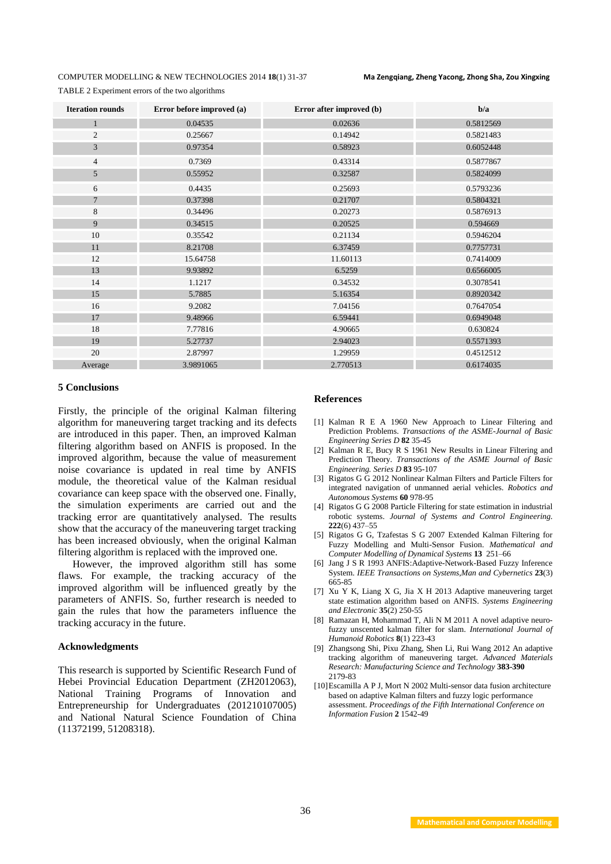TABLE 2 Experiment errors of the two algorithms

| <b>Iteration rounds</b> | Error before improved (a) | Error after improved (b) | b/a       |
|-------------------------|---------------------------|--------------------------|-----------|
| $\mathbf{1}$            | 0.04535                   | 0.02636                  | 0.5812569 |
| 2                       | 0.25667                   | 0.14942                  | 0.5821483 |
| $\mathfrak{Z}$          | 0.97354                   | 0.58923                  | 0.6052448 |
| $\overline{4}$          | 0.7369                    | 0.43314                  | 0.5877867 |
| 5                       | 0.55952                   | 0.32587                  | 0.5824099 |
| 6                       | 0.4435                    | 0.25693                  | 0.5793236 |
| $\overline{7}$          | 0.37398                   | 0.21707                  | 0.5804321 |
| 8                       | 0.34496                   | 0.20273                  | 0.5876913 |
| 9                       | 0.34515                   | 0.20525                  | 0.594669  |
| 10                      | 0.35542                   | 0.21134                  | 0.5946204 |
| 11                      | 8.21708                   | 6.37459                  | 0.7757731 |
| 12                      | 15.64758                  | 11.60113                 | 0.7414009 |
| 13                      | 9.93892                   | 6.5259                   | 0.6566005 |
| 14                      | 1.1217                    | 0.34532                  | 0.3078541 |
| 15                      | 5.7885                    | 5.16354                  | 0.8920342 |
| 16                      | 9.2082                    | 7.04156                  | 0.7647054 |
| 17                      | 9.48966                   | 6.59441                  | 0.6949048 |
| 18                      | 7.77816                   | 4.90665                  | 0.630824  |
| 19                      | 5.27737                   | 2.94023                  | 0.5571393 |
| 20                      | 2.87997                   | 1.29959                  | 0.4512512 |
| Average                 | 3.9891065                 | 2.770513                 | 0.6174035 |

## **5 Conclusions**

Firstly, the principle of the original Kalman filtering algorithm for maneuvering target tracking and its defects are introduced in this paper. Then, an improved Kalman filtering algorithm based on ANFIS is proposed. In the improved algorithm, because the value of measurement noise covariance is updated in real time by ANFIS module, the theoretical value of the Kalman residual covariance can keep space with the observed one. Finally, the simulation experiments are carried out and the tracking error are quantitatively analysed. The results show that the accuracy of the maneuvering target tracking has been increased obviously, when the original Kalman filtering algorithm is replaced with the improved one.

However, the improved algorithm still has some flaws. For example, the tracking accuracy of the improved algorithm will be influenced greatly by the parameters of ANFIS. So, further research is needed to gain the rules that how the parameters influence the tracking accuracy in the future.

## **Acknowledgments**

This research is supported by Scientific Research Fund of Hebei Provincial Education Department (ZH2012063), National Training Programs of Innovation and Entrepreneurship for Undergraduates (201210107005) and National Natural Science Foundation of China (11372199, 51208318).

## **References**

- [1] Kalman R E A 1960 New Approach to Linear Filtering and Prediction Problems. *Transactions of the ASME-Journal of Basic Engineering Series D* **82** 35-45
- [2] Kalman R E, Bucy R S 1961 New Results in Linear Filtering and Prediction Theory. *Transactions of the ASME Journal of Basic Engineering. Series D* **83** 95-107
- [3] Rigatos G G 2012 Nonlinear Kalman Filters and Particle Filters for integrated navigation of unmanned aerial vehicles. *Robotics and Autonomous Systems* **60** 978-95
- [4] Rigatos G G 2008 Particle Filtering for state estimation in industrial robotic systems. *Journal of Systems and Control Engineering.* **222**(6) 437–55
- [5] Rigatos G G, Tzafestas S G 2007 Extended Kalman Filtering for Fuzzy Modelling and Multi-Sensor Fusion. *Mathematical and Computer Modelling of Dynamical Systems* **13** 251–66
- [6] Jang J S R 1993 ANFIS:Adaptive-Network-Based Fuzzy Inference System. *IEEE Transactions on Systems,Man and Cybernetics* **23**(3) 665-85
- [7] [Xu](http://www.engineeringvillage.com/controller/servlet/Controller?CID=quickSearchCitationFormat&searchWord1=%7bXu%2C+Yan-Ke%7d§ion1=AU&database=1&yearselect=yearrange&sort=yr) Y K, [Liang X](http://www.engineeringvillage.com/controller/servlet/Controller?CID=quickSearchCitationFormat&searchWord1=%7bLiang%2C+Xiao-Geng%7d§ion1=AU&database=1&yearselect=yearrange&sort=yr) G, [Jia](http://www.engineeringvillage.com/controller/servlet/Controller?CID=quickSearchCitationFormat&searchWord1=%7bJia%2C+Xiao-Hong%7d§ion1=AU&database=1&yearselect=yearrange&sort=yr) X H 2013 Adaptive maneuvering target state estimation algorithm based on ANFIS. *Systems Engineering and Electronic* **35**(2) 250-55
- [8] Ramazan H, Mohammad T, [Ali](http://www.engineeringvillage.com/controller/servlet/Controller?CID=quickSearchCitationFormat&searchWord1=%7bNekoui%2C+Mohammad+Ali%7d§ion1=AU&database=1&yearselect=yearrange&sort=yr) N M 2011 A novel adaptive neurofuzzy unscented kalman filter for slam. *International Journal of Humanoid Robotics* **8**(1) 223-43
- [9] Zhangsong Shi, Pixu [Zhang,](http://www.engineeringvillage.com/search/results/quick.url?CID=quickSearchCitationFormat&searchWord1=%7BZhang,+Pixu%7D§ion1=AU&database=1&yearselect=yearrange&sort=yr) [Shen](http://www.engineeringvillage.com/search/results/quick.url?CID=quickSearchCitationFormat&searchWord1=%7BWang,+Shen%7D§ion1=AU&database=1&yearselect=yearrange&sort=yr) Li, [Rui](http://www.engineeringvillage.com/search/results/quick.url?CID=quickSearchCitationFormat&searchWord1=%7BLi,+Rui%7D§ion1=AU&database=1&yearselect=yearrange&sort=yr) Wang 2012 An adaptive tracking algorithm of maneuvering target. *Advanced Materials Research: Manufacturing Science and Technology* **383-390** 2179-83
- [10]Escamilla A P J, Mort N 2002 Multi-sensor data fusion architecture based on adaptive Kalman filters and fuzzy logic performance assessment. *Proceedings of the Fifth International Conference on Information Fusion* **2** 1542-49